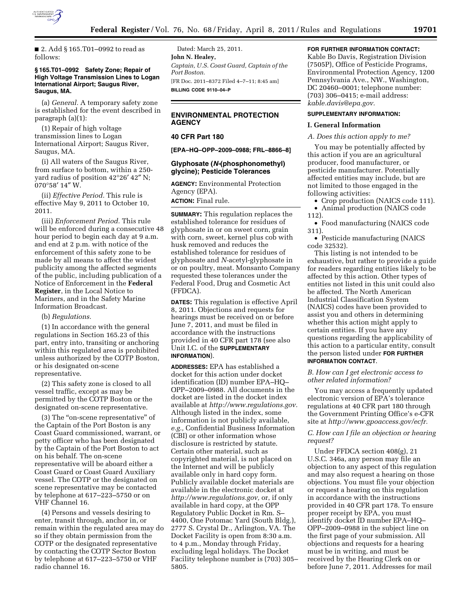

■ 2. Add § 165.T01-0992 to read as follows:

#### **§ 165.T01–0992 Safety Zone; Repair of High Voltage Transmission Lines to Logan International Airport; Saugus River, Saugus, MA.**

(a) *General.* A temporary safety zone is established for the event described in paragraph (a)(1):

(1) Repair of high voltage transmission lines to Logan International Airport; Saugus River, Saugus, MA.

(i) All waters of the Saugus River, from surface to bottom, within a 250 yard radius of position 42°26′ 42″ N; 070°58′ 14″ W.

(ii) *Effective Period.* This rule is effective May 9, 2011 to October 10, 2011.

(iii) *Enforcement Period.* This rule will be enforced during a consecutive 48 hour period to begin each day at 9 a.m. and end at 2 p.m. with notice of the enforcement of this safety zone to be made by all means to affect the widest publicity among the affected segments of the public, including publication of a Notice of Enforcement in the **Federal Register**, in the Local Notice to Mariners, and in the Safety Marine Information Broadcast.

# (b) *Regulations.*

(1) In accordance with the general regulations in Section 165.23 of this part, entry into, transiting or anchoring within this regulated area is prohibited unless authorized by the COTP Boston, or his designated on-scene representative.

(2) This safety zone is closed to all vessel traffic, except as may be permitted by the COTP Boston or the designated on-scene representative.

(3) The ''on-scene representative'' of the Captain of the Port Boston is any Coast Guard commissioned, warrant, or petty officer who has been designated by the Captain of the Port Boston to act on his behalf. The on-scene representative will be aboard either a Coast Guard or Coast Guard Auxiliary vessel. The COTP or the designated on scene representative may be contacted by telephone at 617–223–5750 or on VHF Channel 16.

(4) Persons and vessels desiring to enter, transit through, anchor in, or remain within the regulated area may do so if they obtain permission from the COTP or the designated representative by contacting the COTP Sector Boston by telephone at 617–223–5750 or VHF radio channel 16.

Dated: March 25, 2011. **John N. Healey,**  *Captain, U.S. Coast Guard, Captain of the Port Boston.*  [FR Doc. 2011–8372 Filed 4–7–11; 8:45 am] **BILLING CODE 9110–04–P** 

# **ENVIRONMENTAL PROTECTION AGENCY**

# **40 CFR Part 180**

**[EPA–HQ–OPP–2009–0988; FRL–8866–8]** 

# **Glyphosate (***N-***(phosphonomethyl) glycine); Pesticide Tolerances**

**AGENCY:** Environmental Protection Agency (EPA).

# **ACTION:** Final rule.

**SUMMARY:** This regulation replaces the established tolerance for residues of glyphosate in or on sweet corn, grain with corn, sweet, kernel plus cob with husk removed and reduces the established tolerance for residues of glyphosate and *N-*acetyl-glyphosate in or on poultry, meat. Monsanto Company requested these tolerances under the Federal Food, Drug and Cosmetic Act (FFDCA).

**DATES:** This regulation is effective April 8, 2011. Objections and requests for hearings must be received on or before June 7, 2011, and must be filed in accordance with the instructions provided in 40 CFR part 178 (see also Unit I.C. of the **SUPPLEMENTARY INFORMATION**).

**ADDRESSES:** EPA has established a docket for this action under docket identification (ID) number EPA–HQ– OPP–2009–0988. All documents in the docket are listed in the docket index available at *[http://www.regulations.gov.](http://www.regulations.gov)*  Although listed in the index, some information is not publicly available, *e.g.,* Confidential Business Information (CBI) or other information whose disclosure is restricted by statute. Certain other material, such as copyrighted material, is not placed on the Internet and will be publicly available only in hard copy form. Publicly available docket materials are available in the electronic docket at *[http://www.regulations.gov,](http://www.regulations.gov)* or, if only available in hard copy, at the OPP Regulatory Public Docket in Rm. S– 4400, One Potomac Yard (South Bldg.), 2777 S. Crystal Dr., Arlington, VA. The Docket Facility is open from 8:30 a.m. to 4 p.m., Monday through Friday, excluding legal holidays. The Docket Facility telephone number is (703) 305– 5805.

#### **FOR FURTHER INFORMATION CONTACT:**

Kable Bo Davis, Registration Division (7505P), Office of Pesticide Programs, Environmental Protection Agency, 1200 Pennsylvania Ave., NW., Washington, DC 20460–0001; telephone number: (703) 306–0415; e-mail address: *[kable.davis@epa.gov.](mailto:kable.davis@epa.gov)* 

### **SUPPLEMENTARY INFORMATION:**

### **I. General Information**

#### *A. Does this action apply to me?*

You may be potentially affected by this action if you are an agricultural producer, food manufacturer, or pesticide manufacturer. Potentially affected entities may include, but are not limited to those engaged in the following activities:

- Crop production (NAICS code 111).
- Animal production (NAICS code 112).

• Food manufacturing (NAICS code 311).

• Pesticide manufacturing (NAICS code 32532).

This listing is not intended to be exhaustive, but rather to provide a guide for readers regarding entities likely to be affected by this action. Other types of entities not listed in this unit could also be affected. The North American Industrial Classification System (NAICS) codes have been provided to assist you and others in determining whether this action might apply to certain entities. If you have any questions regarding the applicability of this action to a particular entity, consult the person listed under **FOR FURTHER INFORMATION CONTACT**.

### *B. How can I get electronic access to other related information?*

You may access a frequently updated electronic version of EPA's tolerance regulations at 40 CFR part 180 through the Government Printing Office's e-CFR site at *[http://www.gpoaccess.gov/ecfr.](http://www.gpoaccess.gov/ecfr)* 

# *C. How can I file an objection or hearing request?*

Under FFDCA section 408(g), 21 U.S.C. 346a, any person may file an objection to any aspect of this regulation and may also request a hearing on those objections. You must file your objection or request a hearing on this regulation in accordance with the instructions provided in 40 CFR part 178. To ensure proper receipt by EPA, you must identify docket ID number EPA–HQ– OPP–2009–0988 in the subject line on the first page of your submission. All objections and requests for a hearing must be in writing, and must be received by the Hearing Clerk on or before June 7, 2011. Addresses for mail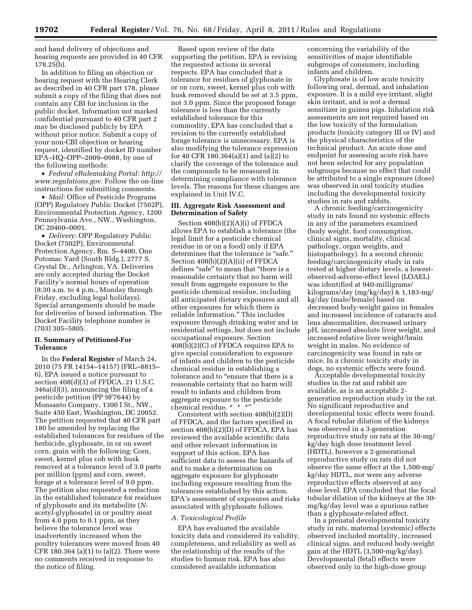and hand delivery of objections and hearing requests are provided in 40 CFR 178.25(b).

In addition to filing an objection or hearing request with the Hearing Clerk as described in 40 CFR part 178, please submit a copy of the filing that does not contain any CBI for inclusion in the public docket. Information not marked confidential pursuant to 40 CFR part 2 may be disclosed publicly by EPA without prior notice. Submit a copy of your non-CBI objection or hearing request, identified by docket ID number EPA–HQ–OPP–2009–0988, by one of the following methods:

• *Federal eRulemaking Portal: [http://](http://www.regulations.gov)  [www.regulations.gov.](http://www.regulations.gov)* Follow the on-line instructions for submitting comments.

• *Mail:* Office of Pesticide Programs (OPP) Regulatory Public Docket (7502P), Environmental Protection Agency, 1200 Pennsylvania Ave., NW., Washington, DC 20460–0001.

• *Delivery:* OPP Regulatory Public Docket (7502P), Environmental Protection Agency, Rm. S–4400, One Potomac Yard (South Bldg.), 2777 S. Crystal Dr., Arlington, VA. Deliveries are only accepted during the Docket Facility's normal hours of operation (8:30 a.m. to 4 p.m., Monday through Friday, excluding legal holidays). Special arrangements should be made for deliveries of boxed information. The Docket Facility telephone number is (703) 305–5805.

# **II. Summary of Petitioned-For Tolerance**

In the **Federal Register** of March 24, 2010 (75 FR 14154–14157) (FRL–8815– 6), EPA issued a notice pursuant to section 408(d)(3) of FFDCA, 21 U.S.C. 346a(d)(3), announcing the filing of a pesticide petition (PP 9F7644) by Monsanto Company, 1300 I St., NW., Suite 450 East, Washington, DC 20052. The petition requested that 40 CFR part 180 be amended by replacing the established tolerances for residues of the herbicide, glyphosate, in or on sweet corn, grain with the following: Corn, sweet, kernel plus cob with husk removed at a tolerance level of 3.0 parts per million (ppm) and corn, sweet, forage at a tolerance level of 9.0 ppm. The petition also requested a reduction in the established tolerance for residues of glyphosate and its metabolite (*N*acetyl-glyphosate) in or poultry meat from 4.0 ppm to 0.1 ppm, as they believe the tolerance level was inadvertently increased when the poultry tolerances were moved from 40 CFR 180.364 (a)(1) to (a)(2). There were no comments received in response to the notice of filing.

Based upon review of the data supporting the petition, EPA is revising the requested actions in several respects. EPA has concluded that a tolerance for residues of glyphosate in or on corn, sweet, kernel plus cob with husk removed should be set at 3.5 ppm, not 3.0 ppm. Since the proposed forage tolerance is less than the currently established tolerance for this commodity, EPA has concluded that a revision to the currently established forage tolerance is unnecessary. EPA is also modifying the tolerance expression for 40 CFR 180.364(a)(1) and (a)(2) to clarify the coverage of the tolerance and the compounds to be measured in determining compliance with tolerance levels. The reasons for these changes are explained in Unit IV.C.

# **III. Aggregate Risk Assessment and Determination of Safety**

Section 408(b)(2)(A)(i) of FFDCA allows EPA to establish a tolerance (the legal limit for a pesticide chemical residue in or on a food) only if EPA determines that the tolerance is "safe." Section 408(b)(2)(A)(ii) of FFDCA defines "safe" to mean that "there is a reasonable certainty that no harm will result from aggregate exposure to the pesticide chemical residue, including all anticipated dietary exposures and all other exposures for which there is reliable information.'' This includes exposure through drinking water and in residential settings, but does not include occupational exposure. Section 408(b)(2)(C) of FFDCA requires EPA to give special consideration to exposure of infants and children to the pesticide chemical residue in establishing a tolerance and to "ensure that there is a reasonable certainty that no harm will result to infants and children from aggregate exposure to the pesticide chemical residue. \* \* \*'

Consistent with section 408(b)(2)(D) of FFDCA, and the factors specified in section 408(b)(2)(D) of FFDCA, EPA has reviewed the available scientific data and other relevant information in support of this action. EPA has sufficient data to assess the hazards of and to make a determination on aggregate exposure for glyphosate including exposure resulting from the tolerances established by this action. EPA's assessment of exposures and risks associated with glyphosate follows.

### *A. Toxicological Profile*

EPA has evaluated the available toxicity data and considered its validity, completeness, and reliability as well as the relationship of the results of the studies to human risk. EPA has also considered available information

concerning the variability of the sensitivities of major identifiable subgroups of consumers, including infants and children.

Glyphosate is of low acute toxicity following oral, dermal, and inhalation exposure. It is a mild eye irritant, slight skin irritant, and is not a dermal sensitizer in guinea pigs. Inhalation risk assessments are not required based on the low toxicity of the formulation products (toxicity category III or IV) and the physical characteristics of the technical product. An acute dose and endpoint for assessing acute risk have not been selected for any population subgroups because no effect that could be attributed to a single exposure (dose) was observed in oral toxicity studies including the developmental toxicity studies in rats and rabbits.

A chronic feeding/carcinogenicity study in rats found no systemic effects in any of the parameters examined (body weight, food consumption, clinical signs, mortality, clinical pathology, organ weights, and histopathology). In a second chronic feeding/carcinogenicity study in rats tested at higher dietary levels, a lowestobserved-adverse-effect level (LOAEL) was identified at 940-milligrams/ kilograms/day (mg/kg/day) & 1,183-mg/ kg/day (male/female) based on decreased body-weight gains in females and increased incidence of cataracts and lens abnormalities, decreased urinary pH, increased absolute liver weight, and increased relative liver weight/brain weight in males. No evidence of carcinogenicity was found in rats or mice. In a chronic toxicity study in dogs, no systemic effects were found.

Acceptable developmental toxicity studies in the rat and rabbit are available, as is an acceptable 2 generation reproduction study in the rat. No significant reproductive and developmental toxic effects were found. A focal tubular dilation of the kidneys was observed in a 3-generation reproductive study on rats at the 30-mg/ kg/day high dose treatment level (HDTL), however a 2-generational reproductive study on rats did not observe the same effect at the 1,500-mg/ kg/day HDTL, nor were any adverse reproductive effects observed at any dose level. EPA concluded that the focal tubular dilation of the kidneys at the 30 mg/kg/day level was a spurious rather than a glyphosate-related effect.

In a prenatal developmental toxicity study in rats, maternal (systemic) effects observed included mortality, increased clinical signs, and reduced body-weight gain at the HDTL (3,500-mg/kg/day). Developmental (fetal) effects were observed only in the high-dose group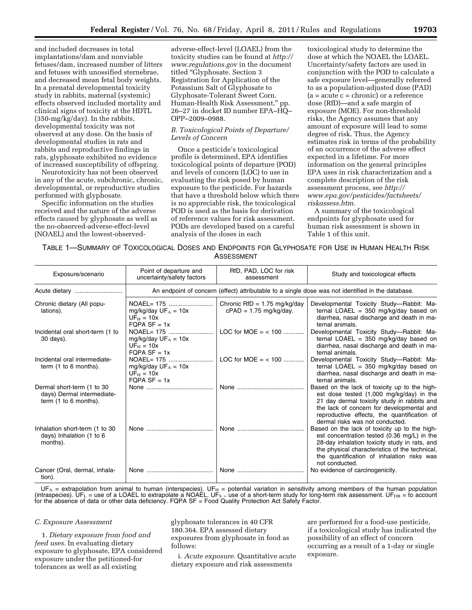and included decreases in total implantations/dam and nonviable fetuses/dam, increased number of litters and fetuses with unossified sternebrae, and decreased mean fetal body weights. In a prenatal developmental toxicity study in rabbits, maternal (systemic) effects observed included mortality and clinical signs of toxicity at the HDTL (350-mg/kg/day). In the rabbits, developmental toxicity was not observed at any dose. On the basis of developmental studies in rats and rabbits and reproductive findings in rats, glyphosate exhibited no evidence of increased susceptibility of offspring.

Neurotoxicity has not been observed in any of the acute, subchronic, chronic, developmental, or reproductive studies performed with glyphosate.

Specific information on the studies received and the nature of the adverse effects caused by glyphosate as well as the no-observed-adverse-effect-level (NOAEL) and the lowest-observedadverse-effect-level (LOAEL) from the toxicity studies can be found at *[http://](http://www.regulations.gov) [www.regulations.gov](http://www.regulations.gov)* in the document titled "Glyphosate. Section 3 Registration for Application of the Potassium Salt of Glyphosate to Glyphosate-Tolerant Sweet Corn. Human-Health Risk Assessment,'' pp. 26–27 in docket ID number EPA–HQ– OPP–2009–0988.

# *B. Toxicological Points of Departure/ Levels of Concern*

Once a pesticide's toxicological profile is determined, EPA identifies toxicological points of departure (POD) and levels of concern (LOC) to use in evaluating the risk posed by human exposure to the pesticide. For hazards that have a threshold below which there is no appreciable risk, the toxicological POD is used as the basis for derivation of reference values for risk assessment. PODs are developed based on a careful analysis of the doses in each

toxicological study to determine the dose at which the NOAEL the LOAEL. Uncertainty/safety factors are used in conjunction with the POD to calculate a safe exposure level—generally referred to as a population-adjusted dose (PAD)  $(a = acute c = chronic)$  or a reference dose (RfD)—and a safe margin of exposure (MOE). For non-threshold risks, the Agency assumes that any amount of exposure will lead to some degree of risk. Thus, the Agency estimates risk in terms of the probability of an occurrence of the adverse effect expected in a lifetime. For more information on the general principles EPA uses in risk characterization and a complete description of the risk assessment process, see *[http://](http://www.epa.gov/pesticides/factsheets/riskassess.htm) [www.epa.gov/pesticides/factsheets/](http://www.epa.gov/pesticides/factsheets/riskassess.htm) [riskassess.htm.](http://www.epa.gov/pesticides/factsheets/riskassess.htm)* 

A summary of the toxicological endpoints for glyphosate used for human risk assessment is shown in Table 1 of this unit.

# TABLE 1—SUMMARY OF TOXICOLOGICAL DOSES AND ENDPOINTS FOR GLYPHOSATE FOR USE IN HUMAN HEALTH RISK ASSESSMENT

| Exposure/scenario                                                                    | Point of departure and<br>uncertainty/safety factors                                              | RfD, PAD, LOC for risk<br>assessment                       | Study and toxicological effects                                                                                                                                                                                                                                         |  |  |  |  |
|--------------------------------------------------------------------------------------|---------------------------------------------------------------------------------------------------|------------------------------------------------------------|-------------------------------------------------------------------------------------------------------------------------------------------------------------------------------------------------------------------------------------------------------------------------|--|--|--|--|
|                                                                                      | An endpoint of concern (effect) attributable to a single dose was not identified in the database. |                                                            |                                                                                                                                                                                                                                                                         |  |  |  |  |
| Chronic dietary (All popu-<br>lations).                                              | mg/kg/day $UF_A = 10x$<br>$UF_H = 10x$<br>$FQPA SF = 1x$                                          | Chronic RfD = $1.75$ mg/kg/day<br>$cPAD = 1.75$ mg/kg/day. | Developmental Toxicity Study-Rabbit: Ma-<br>ternal LOAEL = $350$ mg/kg/day based on<br>diarrhea, nasal discharge and death in ma-<br>ternal animals.                                                                                                                    |  |  |  |  |
| Incidental oral short-term (1 to<br>30 days).                                        | NOAEL= 175<br>mg/kg/day $UF_A = 10x$<br>$UF_H = 10x$<br>$FQPA SF = 1x$                            | $LOC for MOE = < 100$                                      | Developmental Toxicity Study-Rabbit: Ma-<br>ternal LOAEL = $350 \text{ mg/kg/day}$ based on<br>diarrhea, nasal discharge and death in ma-<br>ternal animals.                                                                                                            |  |  |  |  |
| Incidental oral intermediate-<br>term $(1 to 6 months)$ .                            | NOAEL= 175<br>mg/kg/day $UF_A = 10x$<br>$UF_H = 10x$<br>$FQPA SF = 1x$                            | $LOC for MOE = < 100$                                      | Developmental Toxicity Study-Rabbit: Ma-<br>ternal LOAEL = $350 \text{ mg/kg/day}$ based on<br>diarrhea, nasal discharge and death in ma-<br>ternal animals.                                                                                                            |  |  |  |  |
| Dermal short-term (1 to 30<br>days) Dermal intermediate-<br>term $(1 to 6 months)$ . |                                                                                                   |                                                            | Based on the lack of toxicity up to the high-<br>est dose tested (1,000 mg/kg/day) in the<br>21 day dermal toxicity study in rabbits and<br>the lack of concern for developmental and<br>reproductive effects, the quantification of<br>dermal risks was not conducted. |  |  |  |  |
| Inhalation short-term (1 to 30<br>days) Inhalation (1 to 6<br>months).               |                                                                                                   | None                                                       | Based on the lack of toxicity up to the high-<br>est concentration tested (0.36 mg/L) in the<br>28-day inhalation toxicity study in rats, and<br>the physical characteristics of the technical,<br>the quantification of inhalation risks was<br>not conducted.         |  |  |  |  |
| Cancer (Oral, dermal, inhala-<br>tion).                                              |                                                                                                   | None                                                       | No evidence of carcinogenicity.                                                                                                                                                                                                                                         |  |  |  |  |

 $UF_A$  = extrapolation from animal to human (interspecies). UF $_H$  = potential variation in sensitivity among members of the human population (intraspecies). UF<sub>L</sub> = use of a LOAEL to extrapolate a NOAEL. UF<sub>S =</sub> use of a short-term study for long-term risk assessment. UF<sub>DB</sub> = to account for the absence of data or other data deficiency. FQPA SF = Food Quality Protection Act Safety Factor.

#### *C. Exposure Assessment*

1. *Dietary exposure from food and feed uses.* In evaluating dietary exposure to glyphosate, EPA considered exposure under the petitioned-for tolerances as well as all existing

glyphosate tolerances in 40 CFR 180.364. EPA assessed dietary exposures from glyphosate in food as follows:

i. *Acute exposure.* Quantitative acute dietary exposure and risk assessments

are performed for a food-use pesticide, if a toxicological study has indicated the possibility of an effect of concern occurring as a result of a 1-day or single exposure.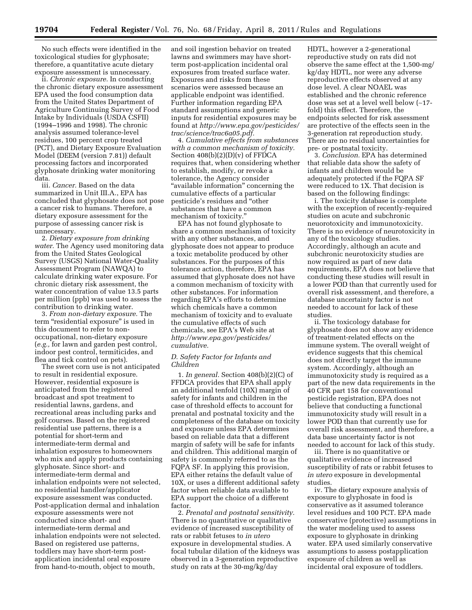No such effects were identified in the toxicological studies for glyphosate; therefore, a quantitative acute dietary exposure assessment is unnecessary.

ii. *Chronic exposure.* In conducting the chronic dietary exposure assessment EPA used the food consumption data from the United States Department of Agriculture Continuing Survey of Food Intake by Individuals (USDA CSFII) (1994–1996 and 1998). The chronic analysis assumed tolerance-level residues, 100 percent crop treated (PCT), and Dietary Exposure Evaluation Model (DEEM (version 7.81)) default processing factors and incorporated glyphosate drinking water monitoring data.

iii. *Cancer.* Based on the data summarized in Unit III.A., EPA has concluded that glyphosate does not pose a cancer risk to humans. Therefore, a dietary exposure assessment for the purpose of assessing cancer risk is unnecessary.

2. *Dietary exposure from drinking water.* The Agency used monitoring data from the United States Geological Survey (USGS) National Water-Quality Assessment Program (NAWQA) to calculate drinking water exposure. For chronic dietary risk assessment, the water concentration of value 13.5 parts per million (ppb) was used to assess the contribution to drinking water.

3. *From non-dietary exposure.* The term "residential exposure" is used in this document to refer to nonoccupational, non-dietary exposure (*e.g.,* for lawn and garden pest control, indoor pest control, termiticides, and flea and tick control on pets).

The sweet corn use is not anticipated to result in residential exposure. However, residential exposure is anticipated from the registered broadcast and spot treatment to residential lawns, gardens, and recreational areas including parks and golf courses. Based on the registered residential use patterns, there is a potential for short-term and intermediate-term dermal and inhalation exposures to homeowners who mix and apply products containing glyphosate. Since short- and intermediate-term dermal and inhalation endpoints were not selected, no residential handler/applicator exposure assessment was conducted. Post-application dermal and inhalation exposure assessments were not conducted since short- and intermediate-term dermal and inhalation endpoints were not selected. Based on registered use patterns, toddlers may have short-term postapplication incidental oral exposure from hand-to-mouth, object to mouth,

and soil ingestion behavior on treated lawns and swimmers may have shortterm post-application incidental oral exposures from treated surface water. Exposures and risks from these scenarios were assessed because an applicable endpoint was identified. Further information regarding EPA standard assumptions and generic inputs for residential exposures may be found at *[http://www.epa.gov/pesticides/](http://www.epa.gov/pesticides/trac/science/trac6a05.pdf) [trac/science/trac6a05.pdf.](http://www.epa.gov/pesticides/trac/science/trac6a05.pdf)* 

4. *Cumulative effects from substances with a common mechanism of toxicity.*  Section 408(b)(2)(D)(v) of FFDCA requires that, when considering whether to establish, modify, or revoke a tolerance, the Agency consider "available information" concerning the cumulative effects of a particular pesticide's residues and ''other substances that have a common mechanism of toxicity.''

EPA has not found glyphosate to share a common mechanism of toxicity with any other substances, and glyphosate does not appear to produce a toxic metabolite produced by other substances. For the purposes of this tolerance action, therefore, EPA has assumed that glyphosate does not have a common mechanism of toxicity with other substances. For information regarding EPA's efforts to determine which chemicals have a common mechanism of toxicity and to evaluate the cumulative effects of such chemicals, see EPA's Web site at *[http://www.epa.gov/pesticides/](http://www.epa.gov/pesticides/cumulative) [cumulative.](http://www.epa.gov/pesticides/cumulative)* 

#### *D. Safety Factor for Infants and Children*

1. *In general.* Section 408(b)(2)(C) of FFDCA provides that EPA shall apply an additional tenfold (10X) margin of safety for infants and children in the case of threshold effects to account for prenatal and postnatal toxicity and the completeness of the database on toxicity and exposure unless EPA determines based on reliable data that a different margin of safety will be safe for infants and children. This additional margin of safety is commonly referred to as the FQPA SF. In applying this provision, EPA either retains the default value of 10X, or uses a different additional safety factor when reliable data available to EPA support the choice of a different factor.

2. *Prenatal and postnatal sensitivity.*  There is no quantitative or qualitative evidence of increased susceptibility of rats or rabbit fetuses to *in utero*  exposure in developmental studies. A focal tubular dilation of the kidneys was observed in a 3-generation reproductive study on rats at the 30-mg/kg/day

HDTL, however a 2-generational reproductive study on rats did not observe the same effect at the 1,500-mg/ kg/day HDTL, nor were any adverse reproductive effects observed at any dose level. A clear NOAEL was established and the chronic reference dose was set at a level well below (∼17 fold) this effect. Therefore, the endpoints selected for risk assessment are protective of the effects seen in the 3-generation rat reproduction study. There are no residual uncertainties for pre- or postnatal toxicity.

3. *Conclusion.* EPA has determined that reliable data show the safety of infants and children would be adequately protected if the FQPA SF were reduced to 1X. That decision is based on the following findings:

i. The toxicity database is complete with the exception of recently-required studies on acute and subchronic neuorotoxicity and immunotoxicity. There is no evidence of neurotoxicity in any of the toxicology studies. Accordingly, although an acute and subchronic neurotoxicity studies are now required as part of new data requirements, EPA does not believe that conducting these studies will result in a lower POD than that currently used for overall risk assessment, and therefore, a database uncertainty factor is not needed to account for lack of these studies.

ii. The toxicology database for glyphosate does not show any evidence of treatment-related effects on the immune system. The overall weight of evidence suggests that this chemical does not directly target the immune system. Accordingly, although an immunotoxicity study is required as a part of the new data requirements in the 40 CFR part 158 for conventional pesticide registration, EPA does not believe that conducting a functional immunotoxicity study will result in a lower POD than that currently use for overall risk assessment, and therefore, a data base uncertainty factor is not needed to account for lack of this study.

iii. There is no quantitative or qualitative evidence of increased susceptibility of rats or rabbit fetuses to *in utero* exposure in developmental studies.

iv. The dietary exposure analysis of exposure to glyphosate in food is conservative as it assumed tolerance level residues and 100 PCT. EPA made conservative (protective) assumptions in the water modeling used to assess exposure to glyphosate in drinking water. EPA used similarly conservative assumptions to assess postapplication exposure of children as well as incidental oral exposure of toddlers.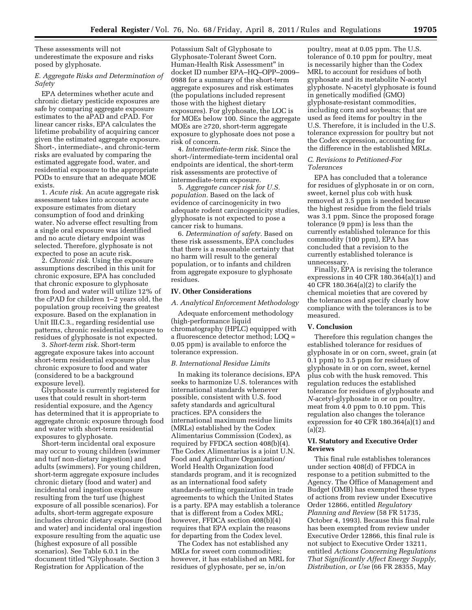These assessments will not underestimate the exposure and risks posed by glyphosate.

# *E. Aggregate Risks and Determination of Safety*

EPA determines whether acute and chronic dietary pesticide exposures are safe by comparing aggregate exposure estimates to the aPAD and cPAD. For linear cancer risks, EPA calculates the lifetime probability of acquiring cancer given the estimated aggregate exposure. Short-, intermediate-, and chronic-term risks are evaluated by comparing the estimated aggregate food, water, and residential exposure to the appropriate PODs to ensure that an adequate MOE exists.

1. *Acute risk.* An acute aggregate risk assessment takes into account acute exposure estimates from dietary consumption of food and drinking water. No adverse effect resulting from a single oral exposure was identified and no acute dietary endpoint was selected. Therefore, glyphosate is not expected to pose an acute risk.

2. *Chronic risk.* Using the exposure assumptions described in this unit for chronic exposure, EPA has concluded that chronic exposure to glyphosate from food and water will utilize 12% of the cPAD for children 1–2 years old, the population group receiving the greatest exposure. Based on the explanation in Unit III.C.3., regarding residential use patterns, chronic residential exposure to residues of glyphosate is not expected.

3. *Short-term risk.* Short-term aggregate exposure takes into account short-term residential exposure plus chronic exposure to food and water (considered to be a background exposure level).

Glyphosate is currently registered for uses that could result in short-term residential exposure, and the Agency has determined that it is appropriate to aggregate chronic exposure through food and water with short-term residential exposures to glyphosate.

Short-term incidental oral exposure may occur to young children (swimmer and turf non-dietary ingestion) and adults (swimmers). For young children, short-term aggregate exposure includes chronic dietary (food and water) and incidental oral ingestion exposure resulting from the turf use (highest exposure of all possible scenarios). For adults, short-term aggregate exposure includes chronic dietary exposure (food and water) and incidental oral ingestion exposure resulting from the aquatic use (highest exposure of all possible scenarios). See Table 6.0.1 in the document titled ''Glyphosate. Section 3 Registration for Application of the

Potassium Salt of Glyphosate to Glyphosate-Tolerant Sweet Corn. Human-Health Risk Assessment'' in docket ID number EPA–HQ–OPP–2009– 0988 for a summary of the short-term aggregate exposures and risk estimates (the populations included represent those with the highest dietary exposures). For glyphosate, the LOC is for MOEs below 100. Since the aggregate MOEs are ≥720, short-term aggregate exposure to glyphosate does not pose a risk of concern.

4. *Intermediate-term risk.* Since the short-/intermediate-term incidental oral endpoints are identical, the short-term risk assessments are protective of intermediate-term exposure.

5. *Aggregate cancer risk for U.S. population.* Based on the lack of evidence of carcinogenicity in two adequate rodent carcinogenicity studies, glyphosate is not expected to pose a cancer risk to humans.

6. *Determination of safety.* Based on these risk assessments, EPA concludes that there is a reasonable certainty that no harm will result to the general population, or to infants and children from aggregate exposure to glyphosate residues.

### **IV. Other Considerations**

*A. Analytical Enforcement Methodology* 

Adequate enforcement methodology (high-performance liquid chromatography (HPLC) equipped with a fluorescence detector method; LOQ = 0.05 ppm) is available to enforce the tolerance expression.

### *B. International Residue Limits*

In making its tolerance decisions, EPA seeks to harmonize U.S. tolerances with international standards whenever possible, consistent with U.S. food safety standards and agricultural practices. EPA considers the international maximum residue limits (MRLs) established by the Codex Alimentarius Commission (Codex), as required by FFDCA section 408(b)(4). The Codex Alimentarius is a joint U.N. Food and Agriculture Organization/ World Health Organization food standards program, and it is recognized as an international food safety standards-setting organization in trade agreements to which the United States is a party. EPA may establish a tolerance that is different from a Codex MRL; however, FFDCA section 408(b)(4) requires that EPA explain the reasons for departing from the Codex level.

The Codex has not established any MRLs for sweet corn commodities; however, it has established an MRL for residues of glyphosate, per se, in/on

poultry, meat at 0.05 ppm. The U.S. tolerance of 0.10 ppm for poultry, meat is necessarily higher than the Codex MRL to account for residues of both gyphosate and its metabolite N-acetyl glyphosate. N-acetyl glyphosate is found in genetically modified (GMO) glyphosate-resistant commodities, including corn and soybeans; that are used as feed items for poultry in the U.S. Therefore, it is included in the U.S. tolerance expression for poultry but not the Codex expression, accounting for the difference in the established MRLs.

# *C. Revisions to Petitioned-For Tolerances*

EPA has concluded that a tolerance for residues of glyphosate in or on corn, sweet, kernel plus cob with husk removed at 3.5 ppm is needed because the highest residue from the field trials was 3.1 ppm. Since the proposed forage tolerance (9 ppm) is less than the currently established tolerance for this commodity (100 ppm), EPA has concluded that a revision to the currently established tolerance is unnecessary.

Finally, EPA is revising the tolerance expressions in 40 CFR 180.364(a)(1) and 40 CFR 180.364(a)(2) to clarify the chemical moieties that are covered by the tolerances and specify clearly how compliance with the tolerances is to be measured.

#### **V. Conclusion**

Therefore this regulation changes the established tolerance for residues of glyphosate in or on corn, sweet, grain (at 0.1 ppm) to 3.5 ppm for residues of glyphosate in or on corn, sweet, kernel plus cob with the husk removed. This regulation reduces the established tolerance for residues of glyphosate and *N-*acetyl-glyphosate in or on poultry, meat from 4.0 ppm to 0.10 ppm. This regulation also changes the tolerance expression for 40 CFR 180.364(a)(1) and  $(a)(2)$ .

# **VI. Statutory and Executive Order Reviews**

This final rule establishes tolerances under section 408(d) of FFDCA in response to a petition submitted to the Agency. The Office of Management and Budget (OMB) has exempted these types of actions from review under Executive Order 12866, entitled *Regulatory Planning and Review* (58 FR 51735, October 4, 1993). Because this final rule has been exempted from review under Executive Order 12866, this final rule is not subject to Executive Order 13211, entitled *Actions Concerning Regulations That Significantly Affect Energy Supply, Distribution, or Use* (66 FR 28355, May